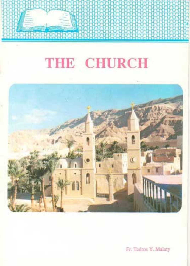# THE CHURCH

truder



Fr. Tadros Y. Malaty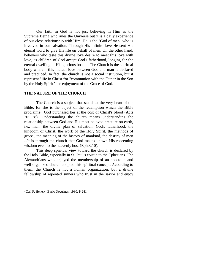Our faith in God is not just believing in Him as the Supreme Being who rules the Universe but it is a daily experience of our close relationship with Him. He is the "God of men" who is involved in our salvation. Through His infinite love He sent His eternal word to give His life on behalf of men. On the other hand, believers who taste this divine love desire to meet this love with love, as children of God accept God's fatherhood, longing for the eternal dwelling in His glorious bosom. The Church is the spiritual body wherein this mutual love between God and man is declared and practiced. In fact, the church is not a social institution, but it represent "life in Christ "or "communion with the Father in the Son by the Holy Spirit ", or enjoyment of the Grace of God.

## **THE NATURE OF THE CHURCH**

The Church is a subject that stands at the very heart of the Bible, for she is the object of the redemption which the Bible proclaims[1](#page-1-0). God purchased her at the cost of Christ's blood (Acts 20: 28). Understanding the church means understanding the relationship between God and His most beloved creature on earth, i.e., man; the divine plan of salvation, God's fatherhood, the kingdom of Christ, the work of the Holy Spirit, the methods of grace , the meaning of the history of mankind, the destiny of men ...It is through the church that God makes known His redeeming wisdom even to the heavenly host (Eph.3:10).

This deep spiritual view toward the church is declared by the Holy Bible, especially in St. Paul's epistle to the Ephesians. The Alexandrians who enjoyed the membership of an apostolic and well organized church adopted this spiritual concept. According to them, the Church is not a human organization, but a divine fellowship of repented sinners who trust in the savior and enjoy

<span id="page-1-0"></span><sup>&</sup>lt;sup>1</sup>Carl F. Henery: Basic Doctrines, 1980, P.241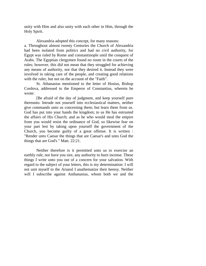unity with Him and also unity with each other in Him, through the Holy Spirit.

Alexandria adopted this concept, for many reasons: a. Throughout almost twenty Centuries the Church of Alexandria had been isolated from politics and had no civil authority, for Egypt was ruled by Rome and constantinople until the conquest of Arabs. The Egyptian clergymen found no room in the courts of the rules; however, this did not mean that they struggled for achieving any means of authority, nor that they desired it. Instead they were involved in taking care of the people, and creating good relations with the ruler, but not on the account of the "Faith".

St. Athanasius mentioned to the letter of Hosius, Bishop Cordova, addressed to the Emperor of Constantius, wherein he wrote:

[Be afraid of the day of judgment, and keep yourself pure thereunto. Intrude not yourself into ecclesiastical matters, neither give commands unto us concerning them; but learn them from us. God has put into your hands the kingdom; to us He has entrusted the affairs of His Church; and as he who would steal the empire from you would resist the ordinance of God, so likewise fear on your part lest by taking upon yourself the government of the Church, you become guilty of a great offense. It is written : "Render unto Caesar the things that are Caesar's and unto God the things that are God's " Matt. 22:21.

Neither therefore is it permitted unto us to exercise an earthly rule, nor have you sire, any authority to burn incense. These things I write unto you out of a concern for your salvation. With regard to the subject of your letters, this is my determination: I will not unit myself to the Ariansl I anathematize their heresy. Neither will I subscribe against Anthanasius, whom both we and the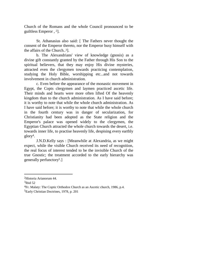Church of the Romans and the whole Council pronounced to be guiltless Emperor, <sup>2</sup>].

St. Athanasius also said: [ The Fathers never thought the consent of the Emperor thereto, nor the Emperor busy himself with the affairs of the Church..[3](#page-3-1)].

b. The Alexandrians' view of knowledge (gnosis) as a divine gift constantly granted by the Father through His Son to the spiritual believers, that they may enjoy His divine mysteries, attracted even the clergymen towards practicing contemplation, studying the Holy Bible, worshipping etc...and not towards involvement in church administration.

c. Even before the appearance of the monastic movement in Egypt, the Copts clergymen and laymen practiced ascetic life. Their minds and hearts were more often lifted Of the heavenly kingdom than to the church administration. As I have said before; it is worthy to note that while the whole church administration. As I have said before; it is worthy to note that while the whole church in the fourth century was in danger of secularization, for Christianity had been adopted as the State religion and the Emperor's palace was opened widely to the clergymen, the Egyptian Church attracted the whole church towards the desert, i.e. towards inner life, to practise heavenly life, despising every earthly glory[4](#page-3-2).

J.N.D.Kelly says : [Meanwhile at Alexandria, as we might expect, while the visible Church received its need of recognition, the real focus of interest tended to be the invisible Church of the true Gnostic; the treatment accorded to the early hierarchy was generally perfunctory[5](#page-3-3).]

<span id="page-3-1"></span><span id="page-3-0"></span><sup>2</sup>Historia Arianorum 44.

<span id="page-3-2"></span><sup>3</sup>Ibid 52

<span id="page-3-3"></span><sup>4</sup>Fr. Malaty: The Coptic Orthodox Church as an Ascetic church, 1986, p.4. 5Early Christian Doctrines, 1978, p. 201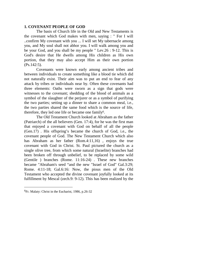## **1. COVENANT PEOPLE OF GOD**

The basis of Church life in the Old and New Testaments is the covenant which God makes with men, saying : " For I will ..confirm My covenant with you ... I will set My tabernacle among you, and My soul shall not abhor you. I will walk among you and be your God, and you shall be my people " Lev.26 : 9-12. This is God's desire that He dwells among His children as His own portion, that they may also accept Him as their own portion (Ps.142:5).

Covenants were known early among ancient tribes and between individuals to create something like a blood tie which did not naturally exist. Their aim was to put an end to fear of any attack by tribes or individuals near by. Often these covenants had three elements: Oaths were sworn as a sign that gods were witnesses to the covenant; shedding of the blood of animals as a symbol of the slaughter of the perjurer or as a symbol of purifying the two parties; setting up a dinner to share a common meal, i.e., the two parties shared the same food which is the source of life, therefore, they led one life or became onefamil[y](#page-4-0)6.

The Old Testament Church looked at Abraham as the father (Patriarch) of the all believers (Gen. 17:4), for he was the first man that enjoyed a covenant with God on behalf of all the people (Gen.17) . His offspring's became the church of God, i.e., the covenant people of God. The New Testament Church which also has Abraham as her father (Rom.4:11,16) , enjoys the true covenant with God in Christ. St. Paul pictured the church as a single olive tree, from which some natural (Israelite) branches had been broken off through unbelief, to be replaced by some wild (Gentile ) branches (Rome. 11:16-24) . These new branches became "Abraham's seed "and the new "Israel of God" Gal.3:29; Rome. 4:11-18; Gal.6:16: Now, the pious men of the Old Testament who accepted the divine covenant joyfully looked at its fulfillment by Mescal (zech.9: 9-12). This has been realized by the

<span id="page-4-0"></span><sup>6</sup>Fr. Malaty: Christ in the Eucharist, 1986, p.26-32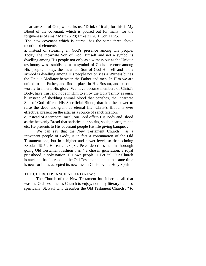Incarnate Son of God, who asks us: "Drink of it all, for this is My Blood of the covenant, which is poured out for many, for the forgiveness of sins." Matt.26:28; Luke 22:20;1 Cor. 11:25.

The new covenant which is eternal has the same three above mentioned elements:

a. Instead of swearing an God's presence among His people. Today, the Incarnate Son of God Himself and not a symbol is dwelling among His people not only as a witness but as the Unique testimony was established as a symbol of God's presence among His people. Today, the Incarnate Son of God Himself and not a symbol is dwelling among His people not only as a Witness but as the Unique Mediator between the Father and men. In Him we are united to the Father, and find a place in His Bosom, and become worthy to inherit His glory. We have become members of Christ's Body, have trust and hope in Him to enjoy the Holy Trinity as ours. b. Instead of shedding animal blood that perishes, the Incarnate Son of God offered His Sacrificial Blood, that has the power to raise the dead and grant us eternal life. Christ's Blood is ever effective, present on the altar as a source of sanctification.

c. Instead of a temporal meal, our Lord offers His Body and Blood as the heavenly Bread that satisfies our spirits, souls, hearts, minds etc. He presents to His covenant people His life giving banquet .

We can say that the New Testament Church , as a "covenant people of God", is in fact a continuation of the Old Testament one, but in a higher and newer level, so that echoing Exodus 19:5f, Hosea 2: 23 ,St. Peter describes her in thorough going Old Testament fashion , as " a chosen generation, a royal priesthood, a holy nation ,His own people" 1 Pet.2:9. Our Church is ancient , has its roots in the Old Testament, and at the same time is new for it has accepted its newness in Christ by the Holy Spirit.

## THE CHURCH IS ANCIENT AND NEW :

The Church of the New Testament has inherited all that was the Old Testament's Church to enjoy, not only literary but also spiritually. St. Paul who describes the Old Testament Church , " to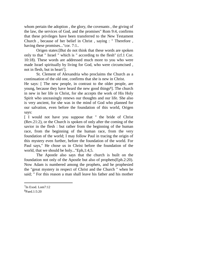whom pertain the adoption , the glory, the covenants , the giving of the law, the services of God, and the promises" Rom 9:4, confirms that these privileges have been transferred to the New Testament Church , because of her belief in Christ , saying : " Therefore , having these promises..."cor. 7:1..

Origen states:[But do not think that these words are spoken only to that " Israel " which is " according to the flesh" (cf.1 Cor. 10:18). These words are addressed much more to you who were made Israel spiritually by living for God, who were circumcised , notin flesh, but in heart<sup>7</sup>].

St. Clement of Alexandria who proclaims the Church as a continuation of the old one, confirms that she is new in Christ.

He says: [ The new people, in contrast to the older people, are young, because they have heard the new good things<sup>[8](#page-6-1)</sup>]. The church in new in her life in Christ, for she accepts the work of His Holy Spirit who unceasingly renews our thoughts and our life. She also is very ancient, for she was in the mind of God who planned for our salvation, even before the foundation of this world, Origen says:

[ I would not have you suppose that " the bride of Christ (Rev.21:2), or the Church is spoken of only after the coming of the savior in the flesh : but rather from the beginning of the human race, from the beginning of the human race, from the very foundation of the world; I may follow Paul in tracing the origin of this mystery even further, before the foundation of the world. For Paul says," He chose us in Christ before the foundation of the world, that we should be holy..."Eph,1:4,5.

The Apostle also says that the church is built on the foundation not only of the Apostle but also of prophets(Eph.2:20). Now Adam is numbered among the prophets, and he prophesied the "great mystery in respect of Christ and the Church " when he said; " For this reason a man shall leave his father and his mother

<span id="page-6-1"></span><span id="page-6-0"></span> $7$ In Exod. Lom $7:12$ 8Paed.1:5:20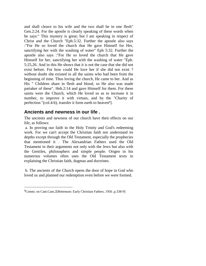and shall cleave to his wife and the two shall be in one flesh" Gen.2:24. For the apostle is clearly speaking of these words when he says:" This mystery is great; but I am speaking in respect of Christ and the Church "Eph.5:32. Further the apostle also says :"For He so loved the church that He gave Himself for Her, sanctifying her with the washing of water" Eph 5:32. Further the apostle also says :"For He so loved the church that He gave Himself for her, sanctifying her with the washing of water "Eph. 5:25,26. And in this He shows that it is not the case that she did not exist before. For how could He love her if she did not exist ? without doubt she existed in all the saints who had been from the beginning of time. Thus loving the church, He came to her. And as His " Children share in flesh and blood, so He also was made partaker of these". Heb.2:14 and gave Himself for them. For these saints were the Church, which He loved so as to increase it in number, to improve it with virtues, and by the "Charity of perfection"(col.4:6), tra[n](#page-7-0)sfer it form earth to heaven<sup>9</sup>].

# **Ancients and newness in our life .**

The ancients and newness of our church have their effects on our life, as follows:

a. In proving our faith in the Holy Trinity and God's redeeming work. For we can't accept the Christian faith nor understand its depths except through the Old Testament, especially the prophecies that mentioned it . The Alexandrian Fathers used the Old Testament in their arguments not only with the Jews but also with the Gentiles, philosophers and simple people. Origen in his numerous volumes often uses the Old Testament texts in explaining the Christian faith, dogmas and doctrines.

b. The ancients of the Church opens the door of hope in God who loved us and planned our redemption even before we were formed.

<span id="page-7-0"></span><sup>9</sup>Comm. on Cant.Cant.2[Bettenson: Early Christian Fathers, 1956 ,p.338-9]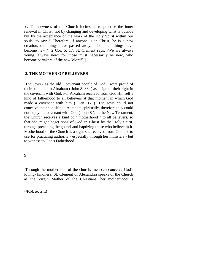c. The newness of the Church incites us to practice the inner renewal in Christ, not by changing and developing what is outside but by the acceptance of the work of the Holy Spirit within our souls, to say: " Therefore, if anyone is in Christ, he is a new creation, old things have passed away; behold, all things have become new ". 2 Cor. 5: 17. St. Clement says: [We are always young, always new: for those must necessarily be new, who become partakers of the new Word<sup>[10](#page-8-0)</sup>.]

#### **2. THE MOTHER OF BELIEVERS**

The Jews - as the old " covenant people of God " were proud of their son- ship to Abraham ( John 8: 33f ) as a sign of their right in the covenant with God. For Abraham received from God Himself a kind of fatherhood to all believers at that moment in which God made a covenant with him ( Gen .17 ). The Jews could not conceive their son ship to Abraham spiritually, therefore they could not enjoy the covenant with God ( John 8 ). In the New Testament, the Church receives a kind of " motherhood " to all believers, so that she might beget sons of God in Christ by the Holy Spirit, through preaching the gospel and baptizing those who believe in it. Motherhood of the Church is a right she received from God not to use for practicing authority - especially through her ministers - but to witness to God's Fatherhood.

9

Through the motherhood of the church, men can conceive God's loving- kindness. St. Clement of Alexandria speaks of the Church as the Virgin Mother of the Christians, her motherhood is

<span id="page-8-0"></span><sup>10</sup>Paidagogos 1:5.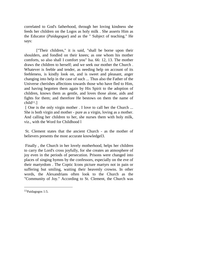correlated to God's fatherhood, through her loving kindness she feeds her children on the Logos as holy milk . She asserts Him as the Educator (*Paidagogue*) and as the " Subject of teaching." He says:

["Their children," it is said, "shall be borne upon their shoulders, and fondled on their knees; as one whom his mother comforts, so also shall I comfort you" Isa. 66: 12, 13. The mother draws the children to herself; and we seek our mother the Church . Whatever is feeble and tender, as needing help on account of its feebleness, is kindly look on, and is sweet and pleasant, anger changing into help in the case of such ... Thus also the Father of the Universe cherishes affections towards those who have fled to Him, and having begotten them again by His Spirit to the adoption of children, knows them as gentle, and loves those alone, aids and fights for them; and therefore He bestows on them the name of  $child<sup>11</sup>.$  $child<sup>11</sup>.$  $child<sup>11</sup>.$ ]

[ One is the only virgin mother . I love to call her the Church ... She is both virgin and mother - pure as a virgin, loving as a mother. And calling her children to her, she nurses them with holy milk, viz., with the Word for Childhood l

St. Clement states that the ancient Church - as the mother of believers presents the most accurate knowledgel3.

Finally , the Church in her lovely motherhood, helps her children to carry the Lord's cross joyfully, for she creates an atmosphere of joy even in the periods of persecution. Prisons were changed into places of singing hymns by the confessors, especially on the eve of their martyrdom . The Coptic Icons picture martyrs not in pain or suffering but smiling, waiting their heavenly crowns. In other words, the Alexandrians often look to the Church as the "Community of Joy." According to St. Clement, the Church was

<span id="page-9-0"></span><sup>11</sup>Paidagogos 1:5.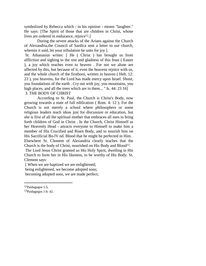symbolized by Rebecca which - in his opinion - means "laughter." He says: [The Spirit of those that are children in Christ, whose lives are ordered in endurance, rejoice<sup>[12](#page-10-0)</sup>.

During the severe attacks of the Arians against the Church of Alexandria,the Council of Sardica sent a letter to our church, wherein it said, let your tribulation be unto for joy ].

St. Athanasius writes: [ He ( Christ ) has brought us from affliction and sighing to the rest and gladness of this feast ( Easter ), a joy which reaches even to heaven . For not we alone are affected by this, but because of it, even the heavens rejoice with us, and the whole church of the firstborn, written in heaven ( Heb. 12: 23 ), you heavens, for the Lord has made mercy upon Israel. Shout, you foundations of the earth . Cry out with joy, you mountains, you high places, and all the trees which are in them... " Is. 44: 23 16] 3. THE BODY OF CHRIST

According to St. Paul, the Church is Christ's Body, now growing towards a state of full edification ( Rom. 4: 12 ). For the Church is not merely a school where philosophers or some religious leaders teach ideas just for discussion or education, but she is first of all the spiritual mother that embraces all men to bring forth children of God in Christ . In the Church, Christ Himself as her Heavenly Head - attracts everyone to Himself to make him a member of His Crucified and Risen Body, and to nourish him on His Sacrificial Bo-lV nd. Blood that he might be perfected in Him. Elsewhere St. Clement of Alexandria clearly teaches that the Church is the body of Christ, nourished on His Body and Blood[13](#page-10-1).

The Lord Jesus Christ granted us His Holy Spirit, dwelling in His Church to form her in His likeness, to be worthy of His Body. St. Clement says:

[ When we are baptized we are enlightened; being enlightened, we become adopted sons;

becoming adopted sons, we are made perfect;

<span id="page-10-1"></span><span id="page-10-0"></span><sup>12</sup>Paidagogos 1:5.

<sup>13</sup>Paidagogos 1:6: 42.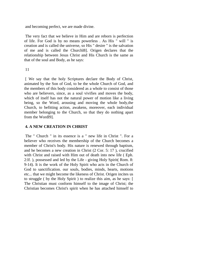and becoming perfect, we are made divine.

The very fact that we believe in Him and are reborn is perfection of life. For God is by no means powerless . As His " will " is creation and is called the universe, so His " desire " is the salvation of me and is called the Churchl8]. Origen declares that the relationship between Jesus Christ and His Church is the same as that of the soul and Body, as he says:

#### 11

[ We say that the holy Scriptures declare the Body of Christ, animated by the Son of God, to be the whole Church of God, and the members of this body considered as a whole to consist of those who are believers, since, as a soul vivifies and moves the body, which of itself has not the natural power of motion like a living being, so the Word, arousing and moving the whole body,the Church, to befitting action, awakens, moreover, each individual member belonging to the Church, so that they do nothing apart from the Wordl9].

## **4. A NEW CREATION IN CHRIST**

The " Church " in its essence is a " new life in Christ ". For a believer who receives the membership of the Church becomes a member of Christ's body. His nature is renewed through baptism, and he becomes a new creation in Christ (2 Cor. 5: 17 ), crucified with Christ and raised with Him out of death into new life ( Eph. 2:lf. ), possessed and led by the Life - giving Holy Spirit( Rom. 8: 9-14). It is the work of the Holy Spirit who acts in the Church of God to sanctification. our souls, bodies, minds, hearts, motions etc... that we might become the likeness of Christ. Origen incites us to struggle ( by the Holy Spirit ) to realize this aim, as he says: [ The Christian must conform himself to the image of Christ; the Christian becomes Christ's spirit when he has attached himself to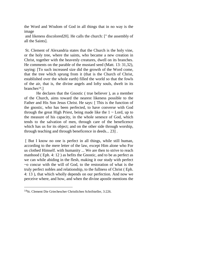the Word and Wisdom of God in all things that in no way is the image

and likeness discolored20]. He calls the church: [" the assembly of all the Saints].

St. Clement of Alexandria states that the Church is the holy vine, or the holy tree, where the saints, who became a new creation in Christ, together with the heavenly creatures, dwell on its branches. He comments on the parable of the mustard seed (Matt. 13: 31,32), saying: [To such increased size did the growth of the Word come, that the tree which sprung from it (that is the Church of Christ, established over the whole earth) filled the world so that the fowls of the air, that is, the divine angels and lofty souls, dwelt in its branches $14.$  $14.$ ]

He declares that the Gnostic ( true believer ), as a member of the Church, aims toward the nearest likeness possible to the Father and His Son Jesus Christ. He says: [ This is the function of the gnostic, who has been perfected, to have converse with God through the great High Priest, being made like the  $1 \sim$  Lord, up to the measure of his capacity, in the whole senesce of God, which tends to the salvation of men, through care of the beneficence which has us for its object; and on the other side through worship, through teaching and through beneficence in deeds... 23] .

[ But I know no one is perfect in all things, while still human, according to the mere letter of the law, except Him alone who For us clothed Himself. with humanity ... We are then to strive to reach manhood ( Eph. 4: 12 ) as befits the Gnostic, and to be as perfect as we can while abiding in the flesh, making it our study with perfect ~o concur with the will of God, to the restoration of what is the truly perfect nobles and relationship, to the fullness of Christ ( Eph. 4: 13 ), that which wholly depends on our perfection. And now we perceive where, and how, and when the divine apostle mentions the

<span id="page-12-0"></span><sup>14</sup>St. Clement Die Griechescher Christlichen Schrifsteller, 3:226.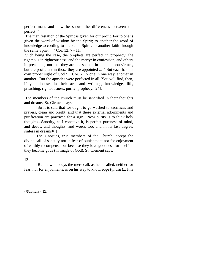perfect man, and how he shows the differences between the perfect: "

The manifestation of the Spirit is given for our profit. For to one is given the word of wisdom by the Spirit; to another the word of knowledge according to the same Spirit; to another faith through the same Spirit ... " Cor. 12: 7 - 11.

Such being the case, the prophets are perfect in prophecy, the righteous in righteousness, and the martyr in confession, and others in preaching, not that they are not sharers in the common virtues, but are proficient in those they are appointed ... " But each has his own proper sight of God " 1 Cor. 7: 7- one in one way, another in another . But the apostles were perfected in all. You will find, then, if you choose, in their acts and writings, knowledge, life, preaching, righteousness, purity, prophecy...24].

The members of the church must be sanctified in their thoughts and dreams. St. Clement says:

[So it is said that we ought to go washed to sacrifices and prayers, clean and bright; and that these external adornments and purification are practiced for a sign . Now purity is to think holy thoughts...Sanctity, as I conceive it, is perfect pureness of mind, and deeds, and thoughts, and words too, and in its last degree, sinless in dreams<sup>[15](#page-13-0)</sup>.]

The Gnostics, true members of the Church, accept the divine call of sanctity not in fear of punishment nor for enjoyment of earthly recompense but because they love goodness for itself as they become gods (in image of God). St. Clement says:

## 13

[But he who obeys the mere call, as he is called, neither for fear, nor for enjoyments, is on his way to knowledge (*gnosis*)... It is

<span id="page-13-0"></span>15Stromata 4:22.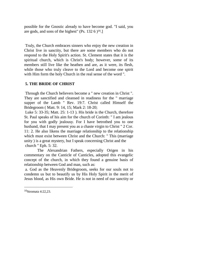possible for the Gnostic already to have become god. "I said, you aregods, and sons of the highest" (Ps.  $132\,6$  )<sup>16</sup>.]

Truly, the Church embraces sinners who enjoy the new creation in Christ live in sanctity, but there are some members who do not respond to the Holy Spirit's action. St. Clement states that it is the spiritual church, which is Christ's body; however, some of its members still live like the heathen and are, as it were, its flesh, while those who truly cleave to the Lord and become one spirit with Him form the holy Church in the real sense of the word ".

## **5. THE BRIDE OF CHRIST**

Through the Church believers become a " new creation in Christ ". They are sanctified and cleansed in readiness for the " marriage supper of the Lamb " Rev. 19:7. Christ called Himself the Bridegroom ( Matt. 9: 14, 15; Mark 2: 18-20;

Luke 5: 33-35; Matt. 25: 1-13 ). His bride is the Church, therefore St. Paul speaks of his aim for the church of Corinth: " I am jealous for you with godly jealousy. For I have betrothed you to one husband, that I may present you as a chaste virgin to Christ " 2 Cor. 11: 2. He also likens the marriage relationship to the relationship which must exist between Christ and the Church: " This (marriage unity ) is a great mystery, but I speak concerning Christ and the church " Eph. 5: 32.

The Alexandrian Fathers, especially Origen in his commentary on the Canticle of Canticles, adopted this evangelic concept of the church, in which they found a genuine basis of relationship between God and man, such as:

a. God as the Heavenly Bridegroom, seeks for our souls not to condemn us but to beautify us by His Holy Spirit in the merit of Jesus blood, as His own Bride. He is not in need of our sanctity or

<span id="page-14-0"></span><sup>16</sup>Stromata 4:22,23.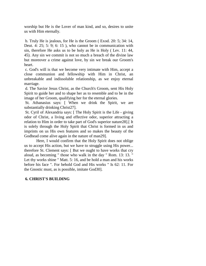worship but He is the Lover of man kind, and so, desires to unite us with Him eternally.

b. Truly He is jealous, for He is the Groom ( Exod. 20: 5; 34: 14, Deut. 4: 25; 5: 9; 6: 15 ), who cannot be in communication with sin, therefore He asks us to be holy as He is Holy ( Lev. 11: 44, 45). Any sin we commit is not so much a breach of the divine law but moreover a crime against love, by sin we break our Groom's heart.

c. God's will is that we become very intimate with Him, accept a close communion and fellowship with Him in Christ, an unbreakable and indissoluble relationship, as we enjoy eternal marriage.

d. The Savior Jesus Christ, as the Church's Groom, sent His Holy Spirit to guide her and to shape her as to resemble and to be in the image of her Groom, qualifying her for the eternal glories.

St. Athanasius says: [ When we drink the Spirit, we are substantially drinking Christ27].

St. Cyril of Alexandria says: [ The Holy Spirit is the Life - giving odor of Christ, a living and effective odor, superior attracting a relation to Him in order to take part of God's superior nature28].[ It is solely through the Holy Spirit that Christ is formed in us and imprints on us His own features and so makes the beauty of the Godhead come alive again in the nature of man29].

Here, I would confirm that the Holy Spirit does not oblige us to accept His action, but we have to struggle using His power... therefore St. Clement says: [ But we ought to have works that cry aloud, as becoming " those who walk in the day " Rom. 13: 13. " Let thy works shine " Matt. 5: 16, and be hold a man and his works before his face ". For behold God and His works " Is 62: 11. For the Gnostic must, as is possible, imitate God30].

# **6. CHRIST'S BUILDING**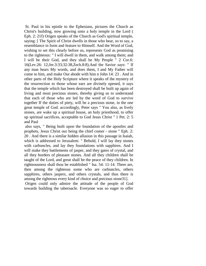St. Paul in his epistle to the Ephesians, pictures the Church as Christ's building, now growing unto a holy temple in the Lord ( Eph. 2: 21f) Origen speaks of the Church as God's spiritual temple, saying: [ The Spirit of Christ dwells in those who bear, so to say, a resemblance in form and feature to Himself. And the Word of God, wishing to set this clearly before us, represents God as promising to the righteous: " I will dwell in them, and walk among them; and I will be their God, and they shall be My People " 2 Cor.6: 16(Lev.26: 12;Jer.3:33;32:38,Zech.8:8).And the Savior says: " If any man hears My words, and does them, I and My Father will come to him, and make Our abode with him n John 14: 23 . And in other parts of the Holy Scripture where it speaks of the mystery of the resurrection to those whose ears are divinely opened, it says that the temple which has been destroyed shall be built up again of living and most precious stones, thereby giving us to understand that each of those who are led by the word of God to survive together If the duties of piety, will be a precious stone, in the one great temple of God. accordingly, Peter says " You also, as lively stones, are wake up a spiritual house, an holy priesthood, to offer up spiritual sacrifices, acceptable to God Jesus Christ " 1 Pet. 2: 5 and Paul

also says, " Being built upon the foundation of the apostles and prophets, Jesus Christ our being the chief comer - stone " Eph. 2: 20 . And there is a similar hidden allusion in this passage in Isaiah, which is addressed to Jerusalem: " Behold, I will lay they stones with carbuncles, and lay they foundations with sapphires. And I will make they battlements of jasper, and they gates of crystal, and all they borders of pleasant stones. And all they children shall be taught of the Lord, and great shall be the peace of they children. In righteousness shall thou be established " Isa. 54: 11-14. There are, then among the righteous some who are carbuncles, others sapphires, others jaspers, and others crystals, and thus there is among the righteous every kind of choice and precious stone31].

Origen could only admire the attitude of the people of God towards building the tabernacle. Everyone was so eager to offer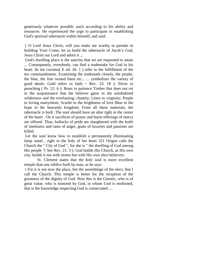generously whatever possible ,each according to his ability and resources. He experienced the urge to participate in establishing God's spiritual tabernacle within himself, and said:

[ O Lord Jesus Christ, will you make me worthy to partake in building Your Come, let us build the tabernacle of Jacob's God, Jesus Christ our Lord and adorn it ...

God's dwelling place is the sanctity that we are requested to attain ... Consequently, everybody, can find a trademake for God in his heart. Its ten curtains( E od. 26: 1 ) refer to the fulfillment of the ten commandments. Examining the trademark closely, the purple, the blue, the fine twined linen etc... ... symbolizes the variety of good deeds: Gold refers to faith  $\sim$  Rev. 23: 18 ): Silver to preaching ( Ps. 12: 6 ): Brass to patience Timber that does not rot to the acquaintance that the believer gains in the uninhabited wilderness and the everlasting; chastity; Linen to virginity; Purple to loving martyrdom; Scarlet to the brightness of love Blue to the hope in the heavenly kingdom; From all these materials, the tabernacle is built .The soul should have an altar right in the center of the heart . On it sacrifices of prayer and burnt offerings of mercy are offered. Thus, bullocks of pride are slaughtered with the knife of meekness and rams of anger, goats of luxuries and passions are killed.

Let the soul know how to establish a permanently illuminating lamp stand , right in the holy of her heart 321 Origen calls the Church the " City of God ", for she is " the dwelling of God among His people "( See Rev. 21: 3 ). God builds His Church, as His own city; builds it not with stones but with His own elect believers.

St. Clement states that the holy soul is more excellent temple than any edifice built by man, as he says:

t For it is not now the place, but the assemblage of the elect, that I call the Church. This temple is better for the reception of the greatness of the dignity of God. Now this is the Gnostic, who is of great value, who is honored by God, in whom God is enshrined, that is the knowledge respecting God is consecrated ....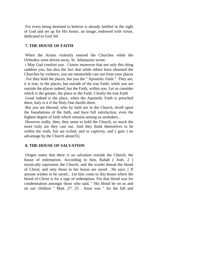For every being destined to believe is already faithful in the sight of God and set up for His honor, an image, endowed with virtue, dedicated to God 34]

## **7. THE HOUSE OF FAITH**

When the Arians violently entered the Churches while the Orthodox were driven away, St. Athanasius wrote:

t May God comfort you . I know moreover that not only this thing saddens you, but also the fact that while others have obtained the Churches by violence, you are meanwhile cast out from your places . For they hold the places, but you the " Apostolic Faith ". They are, it is true, in the places, but outside of the true Faith; while you are outside the places indeed, but the Faith, within you. Let us consider which is the greater, the place or the Faith. Clearly the true Faith Good indeed is the place, when the Apostolic Faith is preached

there, holy is it if the Holy One dwells there.

But you are blessed, who by faith are in the Church, dwell upon the foundations of the faith, and have full satisfaction, even the highest degree of faith which remains among us unshaken...

However really, then, they seem to hold the Church, so much the more truly are they cast out. And they think themselves to be within the truth, but are exiled, and in captivity, and (gain) no advantage by the Church alone35].

## **8. THE HOUSE OF SALVATION**

Origen states that there is no salvation outside the Church, the house of redemption. According to him, Rahab ( Josh. 2 ) mystically represents the Church, and the scarlet thread the blood of Christ; and only those in her house are saved . He says: [ If anyone wishes to be saved... Let him come to this house where the blood of Christ is for a sign of redemption. For that blood was for condemnation amongst those who said, " His blood be on us and on our children " Matt. 27: 25 . Jesus was " for the fall and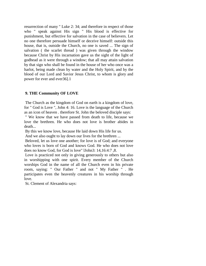resurrection of many " Luke 2: 34; and therefore in respect of those who " speak against His sign " His blood is effective for punishment, but effective for salvation in the case of believers. Let no one therefore persuade himself or deceive himself: outside this house, that is, outside the Church, no one is saved ... The sign of salvation ( the scarlet thread ) was given through the window because Christ by His incarnation gave us the sight of the light of godhead as it were through a window; that all may attain salvation by that sign who shall be found in the house of her who once was a harlot, being made clean by water and the Holy Spirit, and by the blood of our Lord and Savior Jesus Christ, to whom is glory and power for ever and ever36].1

## **9. THE Community OF LOVE**

The Church as the kingdom of God on earth is a kingdom of love, for " God is Love ", John 4: 16. Love is the language of the Church as an icon of heaven . therefore St. John the beloved disciple says:

" We know that we have passed from death to life, because we love the brethren. He who does not love is brother abides in death...

By this we know love, because He laid down His life for us.

And we also ought to lay down our lives for the brethren ...

Beloved, let us love one another; for love is of God; and everyone who loves is born of God and knows God. He who does not love does no know God, for God is love" lJohn3: 14,16:4:7 ,8.

Love is practiced not only in giving generously to others but also in worshipping with one spirit. Every member of the Church worships God in the name of all the Church even in his private room, saying: " Our Father " and not " My Father " . He participates even the heavenly creatures in his worship through love.

St. Clement of Alexandria says: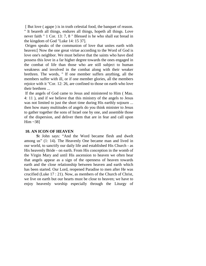[ But love ( agape ) is in truth celestial food, the banquet of reason. " It beareth all things, endures all things, hopeth all things. Love never faith " 1 Cor. 13: 7, 8 " Blessed is he who shall eat bread in the kingdom of God "Luke 14: 15 37].

Origen speaks of the communion of love that unites earth with heaven:[ Now the one great virtue according to the Word of God is love one's neighbor. We must believe that the saints who have died possess this love in a far higher degree towards the ones engaged in the combat of life than those who are still subject to human weakness and involved in the combat along with their weaker brethren. The words, " If one member suffers anything, all the members suffer with ill, or if one member glories, all the members rejoice with it "Cor. 12: 26, are confined to those on earth who love their brethren ...

If the angels of God came to Jesus and ministered to Him ( Mau. 4: 11 ), and if we believe that this ministry of the angels to Jesus was not limited to just the short time during His earthly sojourn ... then how many multitudes of angels do you think minister to Jesus to gather together the sons of Israel one by one, and assemble those of the dispersion, and deliver them that are in fear and call upon Him ~38]

## **10. AN ICON OF HEAVEN**

**S**t John says: "And the Word became flesh and dwelt among us" (1: 14). The Heavenly One became man and lived in our world, to sanctify our daily life and established His Church - as His heavenly Bride - on earth. From His conception in the womb of the Virgin Mary and until His ascension to heaven we often hear that angels appear as a sign of the openness of heaven towards earth and the close relationship between heaven and earth which has been started. Our Lord, reopened Paradise to men after He was crucified (Luke 17 : 21). Now, as members of the Church of Christ, we live on earth but our hearts must be close to heaven; we have to enjoy heavenly worship especially through the Liturgy of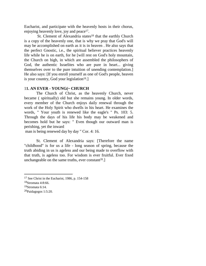Eucharist, and participate with the heavenly hosts in their chorus, enjoying heavenly love, joy and peace<sup>[17](#page-21-0)</sup>.

St. Clement of Alexandria states<sup>[18](#page-21-1)</sup> that the earthly Church is a copy of the heavenly one, that is why we pray that God's will may be accomplished on earth as it is in heaven . He also says that the perfect Gnostic, i.e., the spiritual believer practices heavenly life while he is on earth, for he [will rest on God's holy mountain, the Church on high, in which are assembled the philosophers of God, the authentic Israelites who are pure in heart... giving themselves over to the pure intuition of unending contemplation.] He also says: [If you enroll yourself as one of God's people, heaven is your country, God your legislation<sup>[19](#page-21-2)</sup>.]

## 1**1. AN EVER - YOUNG(~ CHURCH**

The Church of Christ, as the heavenly Church, never became ( spiritually) old but she remains young. In older words, every member of the Church enjoys daily renewal through the work of the Holy Spirit who dwells in his heart. He examines the words, " Your youth is renewed like the eagle's " Ps. 103: 5. Through the days of his life his body may be weakened and becomes hold but he says: " Even though our outward man is perishing, yet the inward

man is being renewed day by day " Cor. 4: 16.

St. Clement of Alexandria says: [Therefore the name "childhood" is for us a life - long season of spring, because the truth abiding in us is ageless and our being made to overflow with that truth, is ageless too. For wisdom is ever fruitful. Ever fixed unchangeable on the same truths, ever constant<sup>[20](#page-21-3)</sup>.]

<span id="page-21-1"></span><span id="page-21-0"></span><sup>17</sup> See Christ in the Eucharist, 1986, p. 154-158

<span id="page-21-2"></span><sup>18</sup>Stromata 4:8:66.

<span id="page-21-3"></span><sup>19</sup>Stromata 6:14.

<sup>20</sup>Paidagogos 1:5:20.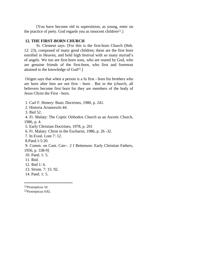[You have become old in superstition; as young, enter on the practice of piety. God regards you as innocent children<sup>[21](#page-22-0)</sup>.]

## **12. THE FIRST-BORN CHURCH**

St. Clement says: [For this is the first-born Church (Heb. 12: 23), composed of many good children; these are the first born enrolled in Heaven, and hold high festival with so many myriad's of angels. We too are first-born sons, who are reared by God, who are genuine friends of the first-born, who first and foremost attainedto the knowledge of God<sup>22</sup>.]

Origen says that when a person is a fu first - born his brothers who are born after him are not first - born . But in the (church, all believers become first born for they are members of the body of Jesus Christ the First - born.

1. Carl F. Henery: Basic Doctrines, 1980, p. 241.

2. Historia ArianoruJn 44.

3. Ibid 52.

4. Fr. Malaty: The Coptic Orthodox Church as an Ascetic Church, 1986, p. 4.

5. Early Christian Doctrines, 1978, p. 201

6. Fr. Malaty: Christ in the Eucharist, 1986, p. 26 -32.

7. In Exod. Lom 7: 12.

8.Paed.1:5:20.

9. Comm. on Cant. Can~. 2 I Bettenson: Early Christian Fathers,

1956, p. 338-9]

10. Paed. 1: 5.

11. Ibid.

12. Ibid 1: 6.

- 13. Strom. 7: 15: 92.
- 14. Paed. 1: 5.

<span id="page-22-1"></span><span id="page-22-0"></span>21Protrepticus 10.

22Protrepticus 9:82.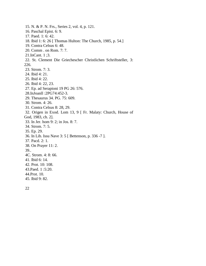15. N. & P. N. Frs., Series 2, vol. 4, p. 121. 16. Paschal Epist. 6: 9. 17. Paed. 1: 6: 42. 18. Ibid 1: 6: 26 [ Thomas Hulton: The Church, 1985, p. 54.] 19. Contra Celsus 6: 48. 20. Comm . on Rom. 7: 7. 21.InCant. 1 ;3. 22. St. Clement Die Griechescher Christlichen Schriftsteller, 3: 226. 23. Strom. 7: 3. 24. Ibid 4: 21. 25. Ibid 4: 22. 26. Ibid 4: 22, 23. 27. Ep. ad Serapioni 19 PG 26: 576. 28.InJoanll :2PG74:452-3. 29. Thesaurus 34. PG. 75: 609. 30. Strom. 4: 26. 31. Contra Celsus 8: 28, 29. 32. Origen in Exod. Lom 13, 9 [ Fr. Malaty: Church, House of God, 1983, ch. 2]. 33. In Jer. hom 9: 2; in Jos. 8: 7. 34. Strom. 7: 5. 35. Ep. 29. 36. In Lib. Issu Nave 3: 5 [ Bettenson, p. 336 -7 ]. 37. Pacd. 2: 1. 38. On Prayer 11: 2. 39.. 4C. Strom. 4: 8: 66. 41. Ibid 6: 14. 42. Prot. 10: 108. 43.Paed. 1 :5:20. 44.Prot. 10. 45. Ibid 9: 82.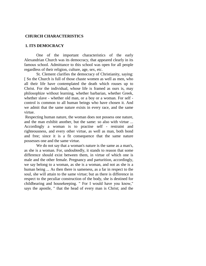#### **CHURCH CHARACTERISTICS**

#### **1. ITS DEMOCRACY**

One of the important characteristics of the early Alexandrian Church was its democracy, that appeared clearly in its famous school. Admittance to this school was open for all people regardless of their religion, culture, age, sex, etc.

St. Clement clarifies the democracy of Christianity, saying: [ So the Church is full of those chaste women as well as men, who all their life have contemplated the death which rouses up to Christ. For the individual, whose life is framed as ours is, may philosophize without learning, whether barbarian, whether Greek, whether slave - whether old man, or a boy or a woman. For self control is common to all human beings who have chosen it. And we admit that the same nature exists in every race, and the same virtue.

Respecting human nature, the woman does not possess one nature, and the man exhibit another, but the same: so also with virtue ... Accordingly a woman is to practise self - restraint and righteousness, and every other virtue, as well as man, both bond and free; since it is a fit consequence that the same nature possesses one and the same virtue.

We do not say that a woman's nature is the same as a man's, as she is a woman. For, undoubtedly, it stands to reason that some difference should exist between them, in virtue of which one is male and the other female. Pregnancy and parturition, accordingly, we say belong to a woman, as she is a woman, and not as she is a human being ... As then there is sameness, as a far in respect to the soul, she will attain to the same virtue; but as there is difference in respect to the peculiar construction of the body, she is destined for childbearing and housekeeping. " For I would have you know," says the apostle, " that the head of every man is Christ; and the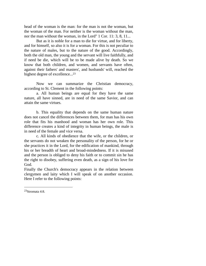head of the woman is the man: for the man is not the woman, but the woman of the man. For neither is the woman without the man, nor the man without the woman, in the Lord" 1 Cor. 11: 3, 8, 11...

But as it is noble for a man to die for virtue, and for liberty, and for himself, so also it is for a woman. For this is not peculiar to the nature of males, but to the nature of the good. Accordingly, both the old man, the young and the servant will live faithfully, and if need be die, which will be to be made alive by death. So we know that both children, and women, and servants have often, against their fathers' and masters', and husbands' will, reached the highest degree of excellence...[23](#page-25-0)

Now we can summarize the Christian democracy, according to St. Clement in the following points:

a. All human beings are equal for they have the same nature, all have sinned, are in need of the same Savior, and can attain the same virtues.

b. This equality that depends on the same human nature does not cancel the differences between them, for man has his own role that fits his manhood and woman has her own role. This difference creates a kind of integrity in human beings, the male is in need of the female and vice versa.

c. All kinds of obedience that the wife, or the children, or the servants do not weaken the personality of the person, for he or she practices it in the Lord, for the edification of mankind, through his or her breadth of heart and broad-mindedness. If it is misused and the person is obliged to deny his faith or to commit sin he has the right to disobey, suffering even death, as a sign of his love for God.

Finally the Church's democracy appears in the relation between clergymen and laity which I will speak of on another occasion. Here I refer to the following points:

<span id="page-25-0"></span><sup>23</sup>Stromata 4:8.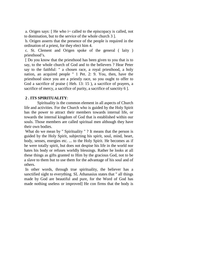a. Origen says: [ He who i~ called to the episcopacy is called, not to domination, but to the service of the whole church 3 ].

b. Origen asserts that the presence of the people is required in the ordination of a priest, for they elect him 4.

c. St. Clement and Origen spoke of the general ( laity ) priesthood's.

[ Do you know that the priesthood has been given to you that is to say, to the whole church of God and to the believers ? Hear Peter say to the faithful: " a chosen race, a royal priesthood, a holy nation, an acquired people " 1 Pet. 2: 9. You, then, have the priesthood since you are a priestly race, so you ought to offer to God a sacrifice of praise ( Heb. 13: 15 ), a sacrifice of prayers, a sacrifice of mercy, a sacrifice of purity, a sacrifice of sanctity 6 ].

## **2 . ITS SPIRITUALITY**:

Spirituality is the common element in all aspects of Church life and activities. For the Church who is guided by the Holy Spirit bas the power to attract their members towards internal life, or towards the internal kingdom of God that is established within our souls. Those members are called spiritual men although they have their own bodies.

What do we mean by " Spirituality " ? It means that the person is guided by the Holy Spirit, subjecting his spirit, soul, mind, heart, body, senses, energies etc. ... to the Holy Spirit. He becomes as if he were totally spirit, but does not despise his life in the world nor hates his body or refuses worldly blessings. Rather he looks at all these things as gifts granted to Him by the gracious God, not to be a slave to them but to use them for the advantage of his soul and of others.

In other words, through true spirituality, the believer has a sanctified sight to everything. SL Athanasius states that " all things made by God are beautiful and pure, for the Word of God has made nothing useless or improved] He con firms that the body is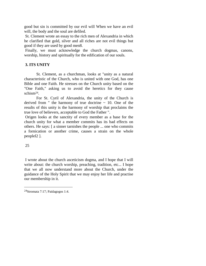good but sin is committed by our evil will When we have an evil will, the body and the soul are defiled.

St. Clement wrote an essay to the rich men of Alexandria in which he clarified that gold, silver and all riches are not evil things but good if they are used by good men8.

Finally, we must acknowledge the church dogmas, canons, worship, history and spiritually for the edification of our souls.

# **3. ITS UNITY**

St. Clement, as a churchman, looks at "unity as a natural characteristic of the Church, who is united with one God, has one Bible and one Faith. He stresses on the Church unity based on the "One Faith," asking us to avoid the heretics for they cause schism[24](#page-27-0).

For St. Cyril of Alexandria, the unity of the Church is derived from " the harmony of true doctrine  $\sim$  10. One of the results of this unity is the harmony of worship that proclaims the true love of believers, acceptable to God the Father ".

Origen looks at the sanctity of every member as a base for the church unity for what a member commits has its bad effects on others. He says: [ a sinner tarnishes the people ... one who commits a fornication or another crime, causes a strain on the whole peoplel2 ].

# 25

I wrote about the church asceticism dogma, and I hope that I will write about: the church worship, preaching, tradition, etc... I hope that we all now understand more about the Church, under the guidance of the Holy Spirit that we may enjoy her life and practise our membership in it.

<span id="page-27-0"></span><sup>24</sup>Stromata 7:17; Paidagogos 1:4.